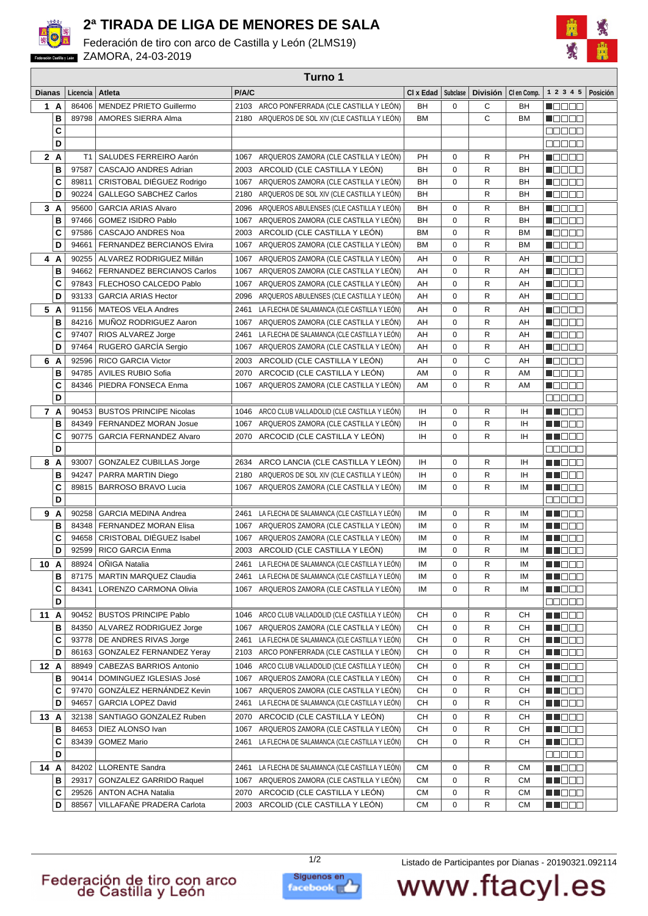

## **2ª TIRADA DE LIGA DE MENORES DE SALA**

Federación de tiro con arco de Castilla y León (2LMS19) **ZAMORA, 24-03-2019** 



| Turno 1       |      |                |                                                                                     |       |                                                   |           |             |                 |                |                  |          |
|---------------|------|----------------|-------------------------------------------------------------------------------------|-------|---------------------------------------------------|-----------|-------------|-----------------|----------------|------------------|----------|
| <b>Dianas</b> |      | Licencia       | Atleta                                                                              | P/A/C |                                                   | CI x Edad | Subclase    | <b>División</b> | CI en Comp.    | 1 2 3 4 5        | Posición |
|               | 1 A  | 86406          | MENDEZ PRIETO Guillermo                                                             |       | 2103 ARCO PONFERRADA (CLE CASTILLA Y LEÓN)        | <b>BH</b> | $\mathbf 0$ | C               | BH             | n de se          |          |
|               | B    | 89798          | <b>AMORES SIERRA Alma</b>                                                           |       | 2180 ARQUEROS DE SOL XIV (CLE CASTILLA Y LEÓN)    | <b>BM</b> |             | $\mathsf{C}$    | <b>BM</b>      | MON BE           |          |
|               | C    |                |                                                                                     |       |                                                   |           |             |                 |                | e se se          |          |
|               | D    |                |                                                                                     |       |                                                   |           |             |                 |                | <b>BEBBB</b>     |          |
|               | 2A   | T <sub>1</sub> | SALUDES FERREIRO Aarón                                                              | 1067  | ARQUEROS ZAMORA (CLE CASTILLA Y LEÓN)             | PH        | 0           | R               | PH             | n Oo Oo          |          |
|               | B    | 97587          | CASCAJO ANDRES Adrian                                                               | 2003  | ARCOLID (CLE CASTILLA Y LEÓN)                     | <b>BH</b> | 0           | R               | BH             | n da a a         |          |
|               | C    | 89811          | CRISTOBAL DIÉGUEZ Rodrigo                                                           |       | 1067 ARQUEROS ZAMORA (CLE CASTILLA Y LEÓN)        | BH        | 0           | R               | BH             | NO DE O          |          |
|               | D    | 90224          | <b>GALLEGO SABCHEZ Carlos</b>                                                       | 2180  | ARQUEROS DE SOL XIV (CLE CASTILLA Y LEÓN)         | BH        |             | R               | BH             | $\blacksquare$   |          |
|               |      |                |                                                                                     |       |                                                   |           |             |                 |                |                  |          |
|               | 3A   | 95600          | <b>GARCIA ARIAS Alvaro</b>                                                          | 2096  | ARQUEROS ABULENSES (CLE CASTILLA Y LEÓN)          | BH        | 0           | R               | BH             | Maaaa            |          |
|               | B    |                | 97466<br><b>GOMEZ ISIDRO Pablo</b><br>ARQUEROS ZAMORA (CLE CASTILLA Y LEÓN)<br>1067 |       | BH                                                | 0         | R           | BH              | $\blacksquare$ |                  |          |
|               | C    | 97586          | CASCAJO ANDRES Noa                                                                  | 2003  | ARCOLID (CLE CASTILLA Y LEÓN)                     | <b>BM</b> | 0           | R               | <b>BM</b>      | $\blacksquare$   |          |
|               | D    | 94661          | FERNANDEZ BERCIANOS Elvira                                                          | 1067  | ARQUEROS ZAMORA (CLE CASTILLA Y LEÓN)             | <b>BM</b> | $\mathbf 0$ | R               | <b>BM</b>      | N DE BE          |          |
|               | 4 A  | 90255          | ALVAREZ RODRIGUEZ Millán                                                            | 1067  | ARQUEROS ZAMORA (CLE CASTILLA Y LEÓN)             | AH        | 0           | R               | AH             | ME E E E         |          |
|               | B    | 94662          | <b>FERNANDEZ BERCIANOS Carlos</b>                                                   | 1067  | ARQUEROS ZAMORA (CLE CASTILLA Y LEÓN)             | AH        | $\mathbf 0$ | R               | AH             | Maaaa            |          |
|               | C    | 97843          | FLECHOSO CALCEDO Pablo                                                              |       | 1067 ARQUEROS ZAMORA (CLE CASTILLA Y LEÓN)        | AH        | 0           | R               | AH             | <b>M</b> OOOO    |          |
|               | D    | 93133          | <b>GARCIA ARIAS Hector</b>                                                          | 2096  | ARQUEROS ABULENSES (CLE CASTILLA Y LEÓN)          | AH        | 0           | R               | AH             | N E E E E        |          |
| 5             | A    | 91156          | <b>MATEOS VELA Andres</b>                                                           | 2461  | LA FLECHA DE SALAMANCA (CLE CASTILLA Y LEÓN)      | AH        | 0           | R               | AH             | n an Be          |          |
|               | B    | 84216          | MUÑOZ RODRIGUEZ Aaron                                                               | 1067  | ARQUEROS ZAMORA (CLE CASTILLA Y LEÓN)             | AH        | 0           | R               | AH             | M E E E E        |          |
|               | C    | 97407          | RIOS ALVAREZ Jorge                                                                  | 2461  | LA FLECHA DE SALAMANCA (CLE CASTILLA Y LEÓN)      | AH        | 0           | R               | AH             | Maaaa            |          |
|               | D    | 97464          | RUGERO GARCÍA Sergio                                                                |       | 1067 ARQUEROS ZAMORA (CLE CASTILLA Y LEÓN)        | AH        | 0           | R               | AH             | n da aa          |          |
| 6             | A    | 92596          | <b>RICO GARCIA Victor</b>                                                           |       | 2003 ARCOLID (CLE CASTILLA Y LEÓN)                | AH        | 0           | C               | AH             | n da aa          |          |
|               | в    | 94785          | AVILES RUBIO Sofia                                                                  | 2070  | ARCOCID (CLE CASTILLA Y LEÓN)                     | AM        | 0           | $\mathsf{R}$    | AM             | n de e e         |          |
|               | C    | 84346          | PIEDRA FONSECA Enma                                                                 | 1067  | ARQUEROS ZAMORA (CLE CASTILLA Y LEÓN)             | AM        | $\mathbf 0$ | R               | AM             | M S S S S        |          |
|               | D    |                |                                                                                     |       |                                                   |           |             |                 |                | <b>DODDD</b>     |          |
|               | 7 A  | 90453          | <b>BUSTOS PRINCIPE Nicolas</b>                                                      | 1046  | ARCO CLUB VALLADOLID (CLE CASTILLA Y LEÓN)        | IH        | 0           | R               | IH             | MN 888           |          |
|               | B    | 84349          | FERNANDEZ MORAN Josue                                                               |       | 1067 ARQUEROS ZAMORA (CLE CASTILLA Y LEÓN)        | ΙH        | 0           | R               | ΙH             | M DE S           |          |
|               | C    | 90775          | <b>GARCIA FERNANDEZ Alvaro</b>                                                      | 2070  | ARCOCID (CLE CASTILLA Y LEÓN)                     | ΙH        | 0           | R               | <b>IH</b>      | M DE S           |          |
|               | D    |                |                                                                                     |       |                                                   |           |             |                 |                | 00000            |          |
|               | 8 A  | 93007          | <b>GONZALEZ CUBILLAS Jorge</b>                                                      |       | 2634 ARCO LANCIA (CLE CASTILLA Y LEÓN)            | IH        | 0           | R               | IH             | MU O O O         |          |
|               | B    | 94247          | PARRA MARTIN Diego                                                                  | 2180  | ARQUEROS DE SOL XIV (CLE CASTILLA Y LEÓN)         | ΙH        | 0           | R               | IH             | MN 888           |          |
|               | C    | 89815          | <b>BARROSO BRAVO Lucia</b>                                                          | 1067  | ARQUEROS ZAMORA (CLE CASTILLA Y LEON)             | IM        | $\mathbf 0$ | R               | IM             | MN OO O          |          |
|               | D    |                |                                                                                     |       |                                                   |           |             |                 |                | <b>OOOOO</b>     |          |
|               | 9 A  | 90258          | <b>GARCIA MEDINA Andrea</b>                                                         |       | 2461 LA FLECHA DE SALAMANCA (CLE CASTILLA Y LEÓN) | ΙM        | 0           | R               | IM             | M DE B           |          |
|               | В    | 84348          | FERNANDEZ MORAN Elisa                                                               |       | 1067 ARQUEROS ZAMORA (CLE CASTILLA Y LEÓN)        | IM        | 0           | R               | IM             | MU DO O          |          |
|               | C    | 94658          | CRISTOBAL DIÉGUEZ Isabel                                                            |       | 1067 ARQUEROS ZAMORA (CLE CASTILLA Y LEÓN)        | IM        | 0           | R               | IМ             | MA DE O          |          |
|               | D    | 92599          | RICO GARCIA Enma                                                                    |       | 2003 ARCOLID (CLE CASTILLA Y LEÓN)                | IM        | $\mathbf 0$ | $\mathsf{R}$    | IM             | M DO O           |          |
|               | 10 A |                | 88924   ONIGA Natalia                                                               |       | 2461 LA FLECHA DE SALAMANCA (CLE CASTILLA Y LEON) | IM        | 0           | R               | IM             | N I DE E         |          |
|               | в    | 87175          | <b>MARTIN MARQUEZ Claudia</b>                                                       |       | 2461 LA FLECHA DE SALAMANCA (CLE CASTILLA Y LEON) | IM        | 0           | R               | ΙM             | <b>HE</b> OOO    |          |
|               | C    | 84341          | LORENZO CARMONA Olivia                                                              |       | 1067 ARQUEROS ZAMORA (CLE CASTILLA Y LEON)        | ΙM        | 0           | R               | IМ             | M M M M M        |          |
|               | D    |                |                                                                                     |       |                                                   |           |             |                 |                | <b>BBBBB</b>     |          |
|               | 11 A | 90452          | <b>BUSTOS PRINCIPE Pablo</b>                                                        | 1046  | ARCO CLUB VALLADOLID (CLE CASTILLA Y LEÓN)        | CН        | 0           | R               | CН             | M NO O O         |          |
|               | в    | 84350          | ALVAREZ RODRIGUEZ Jorge                                                             | 1067  | ARQUEROS ZAMORA (CLE CASTILLA Y LEÓN)             | CН        | 0           | R               | CН             | <b>REGOO</b>     |          |
|               | C    |                | 93778   DE ANDRES RIVAS Jorge                                                       |       | 2461 LA FLECHA DE SALAMANCA (CLE CASTILLA Y LEÓN) | CН        | 0           | R               | CН             | <u>sta e e e</u> |          |
|               | D    | 86163          | <b>GONZALEZ FERNANDEZ Yeray</b>                                                     |       | 2103 ARCO PONFERRADA (CLE CASTILLA Y LEÓN)        | CН        | 0           | R               | CН             | MU DO O          |          |
|               | 12 A | 88949          | CABEZAS BARRIOS Antonio                                                             |       | 1046 ARCO CLUB VALLADOLID (CLE CASTILLA Y LEÓN)   | CН        | 0           | R               | CН             | M S S S S        |          |
|               | В    | 90414          | DOMINGUEZ IGLESIAS José                                                             |       | 1067 ARQUEROS ZAMORA (CLE CASTILLA Y LEÓN)        | CН        | 0           | R               | CН             | M NO O O         |          |
|               | C    | 97470          | GONZÁLEZ HERNÁNDEZ Kevin                                                            |       | 1067 ARQUEROS ZAMORA (CLE CASTILLA Y LEÓN)        | CН        | 0           | R               | CН             | M DOO            |          |
|               | D    | 94657          | GARCIA LOPEZ David                                                                  | 2461  | LA FLECHA DE SALAMANCA (CLE CASTILLA Y LEÓN)      | CН        | 0           | R               | CН             | M DOO            |          |
|               | 13 A | 32138          | SANTIAGO GONZALEZ Ruben                                                             | 2070  | ARCOCID (CLE CASTILLA Y LEÓN)                     | CН        | 0           | R               | CН             | MU DO U          |          |
|               | в    | 84653          | DIEZ ALONSO Ivan                                                                    | 1067  | ARQUEROS ZAMORA (CLE CASTILLA Y LEÓN)             | CН        | 0           | R               | CН             | MU OOO           |          |
|               | C    | 83439          | <b>GOMEZ Mario</b>                                                                  |       | 2461 LA FLECHA DE SALAMANCA (CLE CASTILLA Y LEON) | CН        | 0           | R               | CН             | <b>RECOD</b>     |          |
|               | D    |                |                                                                                     |       |                                                   |           |             |                 |                | <b>BBBBB</b>     |          |
|               | 14 A |                | 84202 LLORENTE Sandra                                                               |       | 2461 LA FLECHA DE SALAMANCA (CLE CASTILLA Y LEÓN) | CМ        |             |                 | СM             | MNO BO           |          |
|               | в    | 29317          | <b>GONZALEZ GARRIDO Raquel</b>                                                      |       | 1067 ARQUEROS ZAMORA (CLE CASTILLA Y LEÓN)        | <b>CM</b> | 0<br>0      | R<br>R          | CМ             | M NO OO          |          |
|               | c    | 29526          | <b>ANTON ACHA Natalia</b>                                                           |       | 2070 ARCOCID (CLE CASTILLA Y LEÓN)                | CМ        | 0           | R               | СM             | <b>HE</b> OOO    |          |
|               | D    | 88567          | VILLAFAÑE PRADERA Carlota                                                           |       | 2003 ARCOLID (CLE CASTILLA Y LEÓN)                | CМ        | 0           | R               | СM             | M NO OO          |          |
|               |      |                |                                                                                     |       |                                                   |           |             |                 |                |                  |          |



1/2 Listado de Participantes por Dianas - 20190321.092114

www.ftacyl.es